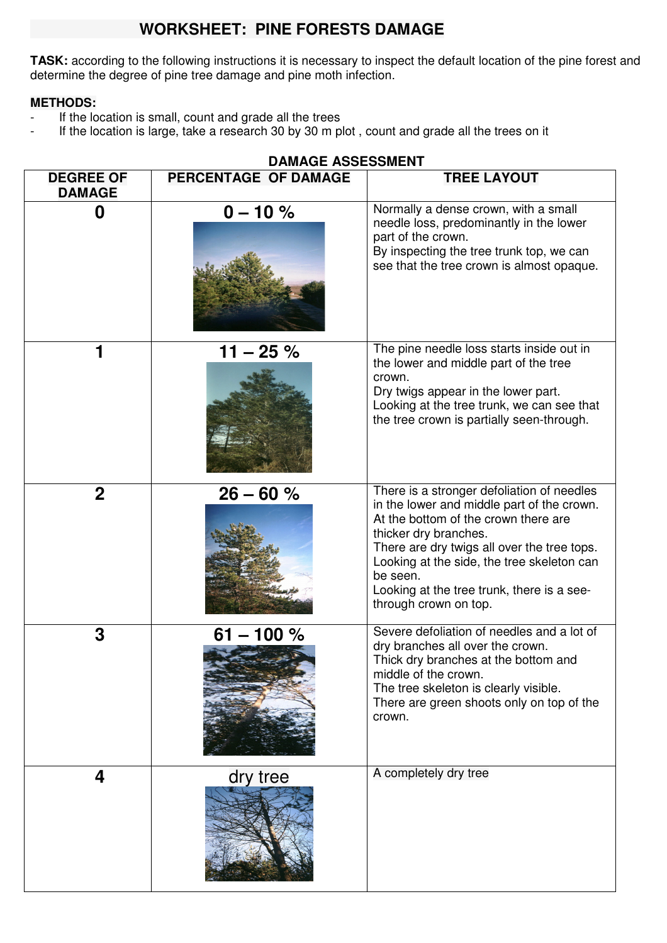# **WORKSHEET: PINE FORESTS DAMAGE**

**TASK:** according to the following instructions it is necessary to inspect the default location of the pine forest and determine the degree of pine tree damage and pine moth infection.

#### **METHODS:**

- If the location is small, count and grade all the trees
- If the location is large, take a research 30 by 30 m plot, count and grade all the trees on it

|                                   | <b>DAMAGE ASSESSMENT</b> |                                                                                                                                                                                                                                                                                                                                           |  |
|-----------------------------------|--------------------------|-------------------------------------------------------------------------------------------------------------------------------------------------------------------------------------------------------------------------------------------------------------------------------------------------------------------------------------------|--|
| <b>DEGREE OF</b><br><b>DAMAGE</b> | PERCENTAGE OF DAMAGE     | <b>TREE LAYOUT</b>                                                                                                                                                                                                                                                                                                                        |  |
| 0                                 | $0 - 10 \%$              | Normally a dense crown, with a small<br>needle loss, predominantly in the lower<br>part of the crown.<br>By inspecting the tree trunk top, we can<br>see that the tree crown is almost opaque.                                                                                                                                            |  |
|                                   | $11 - 25 \%$             | The pine needle loss starts inside out in<br>the lower and middle part of the tree<br>crown.<br>Dry twigs appear in the lower part.<br>Looking at the tree trunk, we can see that<br>the tree crown is partially seen-through.                                                                                                            |  |
| $\mathbf 2$                       | $26 - 60 %$              | There is a stronger defoliation of needles<br>in the lower and middle part of the crown.<br>At the bottom of the crown there are<br>thicker dry branches.<br>There are dry twigs all over the tree tops.<br>Looking at the side, the tree skeleton can<br>be seen.<br>Looking at the tree trunk, there is a see-<br>through crown on top. |  |
| 3                                 | $61 - 100 %$             | Severe defoliation of needles and a lot of<br>dry branches all over the crown.<br>Thick dry branches at the bottom and<br>middle of the crown.<br>The tree skeleton is clearly visible.<br>There are green shoots only on top of the<br>crown.                                                                                            |  |
| 4                                 | dry tree                 | A completely dry tree                                                                                                                                                                                                                                                                                                                     |  |